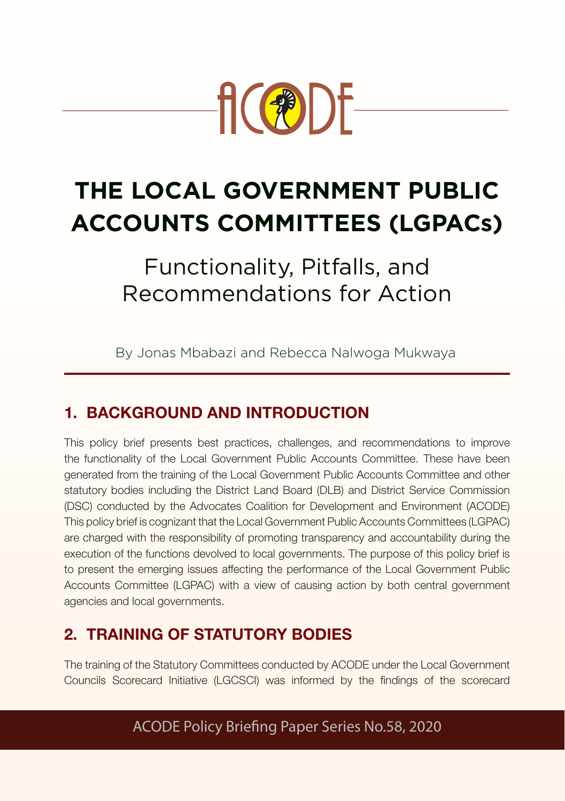

# **THE LOCAL GOVERNMENT PUBLIC ACCOUNTS COMMITTEES (LGPACs)**

Functionality, Pitfalls, and Recommendations for Action

By Jonas Mbabazi and Rebecca Nalwoga Mukwaya

# 1. BACKGROUND AND INTRODUCTION

This policy brief presents best practices, challenges, and recommendations to improve the functionality of the Local Government Public Accounts Committee. These have been generated from the training of the Local Government Public Accounts Committee and other statutory bodies including the District Land Board (DLB) and District Service Commission (DSC) conducted by the Advocates Coalition for Development and Environment (ACODE) This policy brief is cognizant that the Local Government Public Accounts Committees (LGPAC) are charged with the responsibility of promoting transparency and accountability during the execution of the functions devolved to local governments. The purpose of this policy brief is to present the emerging issues affecting the performance of the Local Government Public Accounts Committee (LGPAC) with a view of causing action by both central government agencies and local governments.

# 2. TRAINING OF STATUTORY BODIES

The training of the Statutory Committees conducted by ACODE under the Local Government Councils Scorecard Initiative (LGCSCI) was informed by the findings of the scorecard

ACODE Policy Briefing Paper Series No.58, 2020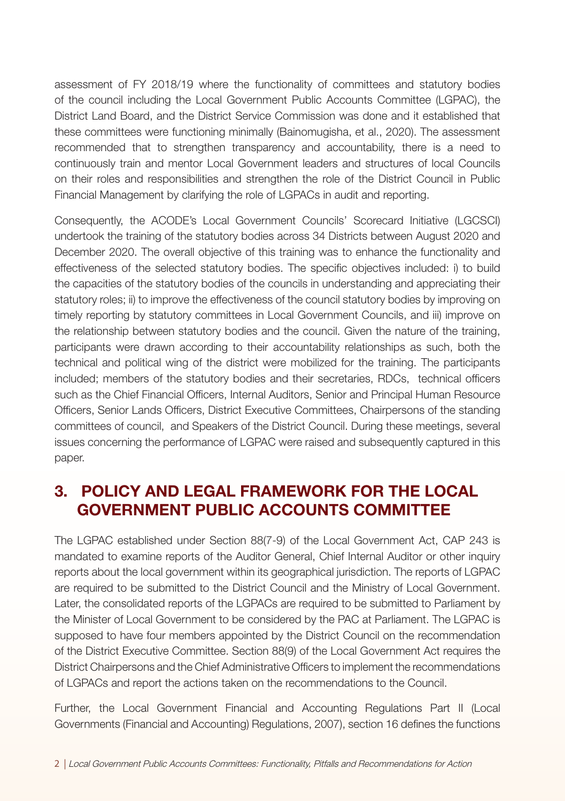assessment of FY 2018/19 where the functionality of committees and statutory bodies of the council including the Local Government Public Accounts Committee (LGPAC), the District Land Board, and the District Service Commission was done and it established that these committees were functioning minimally (Bainomugisha, et al., 2020). The assessment recommended that to strengthen transparency and accountability, there is a need to continuously train and mentor Local Government leaders and structures of local Councils on their roles and responsibilities and strengthen the role of the District Council in Public Financial Management by clarifying the role of LGPACs in audit and reporting.

Consequently, the ACODE's Local Government Councils' Scorecard Initiative (LGCSCI) undertook the training of the statutory bodies across 34 Districts between August 2020 and December 2020. The overall objective of this training was to enhance the functionality and effectiveness of the selected statutory bodies. The specific objectives included: i) to build the capacities of the statutory bodies of the councils in understanding and appreciating their statutory roles; ii) to improve the effectiveness of the council statutory bodies by improving on timely reporting by statutory committees in Local Government Councils, and iii) improve on the relationship between statutory bodies and the council. Given the nature of the training, participants were drawn according to their accountability relationships as such, both the technical and political wing of the district were mobilized for the training. The participants included; members of the statutory bodies and their secretaries, RDCs, technical officers such as the Chief Financial Officers, Internal Auditors, Senior and Principal Human Resource Officers, Senior Lands Officers, District Executive Committees, Chairpersons of the standing committees of council, and Speakers of the District Council. During these meetings, several issues concerning the performance of LGPAC were raised and subsequently captured in this paper.

## 3. POLICY AND LEGAL FRAMEWORK FOR THE LOCAL GOVERNMENT PUBLIC ACCOUNTS COMMITTEE

The LGPAC established under Section 88(7-9) of the Local Government Act, CAP 243 is mandated to examine reports of the Auditor General, Chief Internal Auditor or other inquiry reports about the local government within its geographical jurisdiction. The reports of LGPAC are required to be submitted to the District Council and the Ministry of Local Government. Later, the consolidated reports of the LGPACs are required to be submitted to Parliament by the Minister of Local Government to be considered by the PAC at Parliament. The LGPAC is supposed to have four members appointed by the District Council on the recommendation of the District Executive Committee. Section 88(9) of the Local Government Act requires the District Chairpersons and the Chief Administrative Officers to implement the recommendations of LGPACs and report the actions taken on the recommendations to the Council.

Further, the Local Government Financial and Accounting Regulations Part II (Local Governments (Financial and Accounting) Regulations, 2007), section 16 defines the functions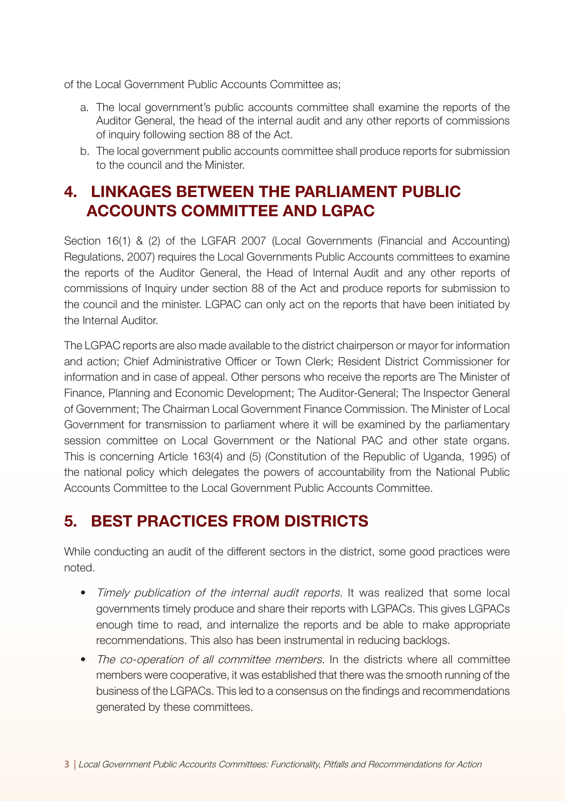of the Local Government Public Accounts Committee as;

- a. The local government's public accounts committee shall examine the reports of the Auditor General, the head of the internal audit and any other reports of commissions of inquiry following section 88 of the Act.
- b. The local government public accounts committee shall produce reports for submission to the council and the Minister.

## 4. LINKAGES BETWEEN THE PARLIAMENT PUBLIC ACCOUNTS COMMITTEE AND LGPAC

Section 16(1) & (2) of the LGFAR 2007 (Local Governments (Financial and Accounting) Regulations, 2007) requires the Local Governments Public Accounts committees to examine the reports of the Auditor General, the Head of Internal Audit and any other reports of commissions of Inquiry under section 88 of the Act and produce reports for submission to the council and the minister. LGPAC can only act on the reports that have been initiated by the Internal Auditor.

The LGPAC reports are also made available to the district chairperson or mayor for information and action; Chief Administrative Officer or Town Clerk; Resident District Commissioner for information and in case of appeal. Other persons who receive the reports are The Minister of Finance, Planning and Economic Development; The Auditor-General; The Inspector General of Government; The Chairman Local Government Finance Commission. The Minister of Local Government for transmission to parliament where it will be examined by the parliamentary session committee on Local Government or the National PAC and other state organs. This is concerning Article 163(4) and (5) (Constitution of the Republic of Uganda, 1995) of the national policy which delegates the powers of accountability from the National Public Accounts Committee to the Local Government Public Accounts Committee.

## 5. BEST PRACTICES FROM DISTRICTS

While conducting an audit of the different sectors in the district, some good practices were noted.

- Timely publication of the internal audit reports. It was realized that some local governments timely produce and share their reports with LGPACs. This gives LGPACs enough time to read, and internalize the reports and be able to make appropriate recommendations. This also has been instrumental in reducing backlogs.
- The co-operation of all committee members. In the districts where all committee members were cooperative, it was established that there was the smooth running of the business of the LGPACs. This led to a consensus on the findings and recommendations generated by these committees.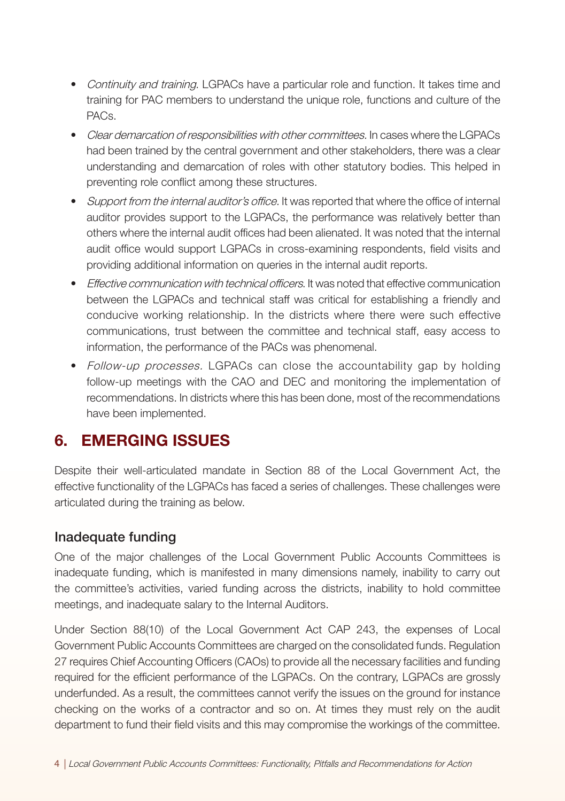- Continuity and training. LGPACs have a particular role and function. It takes time and training for PAC members to understand the unique role, functions and culture of the PACs.
- Clear demarcation of responsibilities with other committees. In cases where the LGPACs had been trained by the central government and other stakeholders, there was a clear understanding and demarcation of roles with other statutory bodies. This helped in preventing role conflict among these structures.
- Support from the internal auditor's office. It was reported that where the office of internal auditor provides support to the LGPACs, the performance was relatively better than others where the internal audit offices had been alienated. It was noted that the internal audit office would support LGPACs in cross-examining respondents, field visits and providing additional information on queries in the internal audit reports.
- Fffective communication with technical officers. It was noted that effective communication between the LGPACs and technical staff was critical for establishing a friendly and conducive working relationship. In the districts where there were such effective communications, trust between the committee and technical staff, easy access to information, the performance of the PACs was phenomenal.
- Follow-up processes. LGPACs can close the accountability gap by holding follow-up meetings with the CAO and DEC and monitoring the implementation of recommendations. In districts where this has been done, most of the recommendations have been implemented.

## 6. EMERGING ISSUES

Despite their well-articulated mandate in Section 88 of the Local Government Act, the effective functionality of the LGPACs has faced a series of challenges. These challenges were articulated during the training as below.

#### Inadequate funding

One of the major challenges of the Local Government Public Accounts Committees is inadequate funding, which is manifested in many dimensions namely, inability to carry out the committee's activities, varied funding across the districts, inability to hold committee meetings, and inadequate salary to the Internal Auditors.

Under Section 88(10) of the Local Government Act CAP 243, the expenses of Local Government Public Accounts Committees are charged on the consolidated funds. Regulation 27 requires Chief Accounting Officers (CAOs) to provide all the necessary facilities and funding required for the efficient performance of the LGPACs. On the contrary, LGPACs are grossly underfunded. As a result, the committees cannot verify the issues on the ground for instance checking on the works of a contractor and so on. At times they must rely on the audit department to fund their field visits and this may compromise the workings of the committee.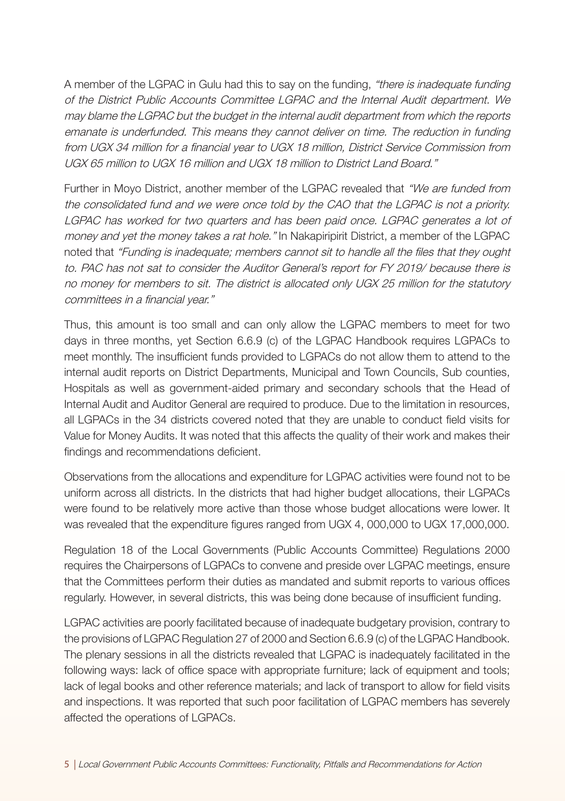A member of the LGPAC in Gulu had this to say on the funding, "there is inadequate funding of the District Public Accounts Committee LGPAC and the Internal Audit department. We may blame the LGPAC but the budget in the internal audit department from which the reports emanate is underfunded. This means they cannot deliver on time. The reduction in funding from UGX 34 million for a financial year to UGX 18 million, District Service Commission from UGX 65 million to UGX 16 million and UGX 18 million to District Land Board."

Further in Moyo District, another member of the LGPAC revealed that "We are funded from the consolidated fund and we were once told by the CAO that the LGPAC is not a priority. LGPAC has worked for two quarters and has been paid once. LGPAC generates a lot of money and yet the money takes a rat hole." In Nakapiripirit District, a member of the LGPAC noted that "Funding is inadequate; members cannot sit to handle all the files that they ought to. PAC has not sat to consider the Auditor General's report for FY 2019/ because there is no money for members to sit. The district is allocated only UGX 25 million for the statutory committees in a financial year."

Thus, this amount is too small and can only allow the LGPAC members to meet for two days in three months, yet Section 6.6.9 (c) of the LGPAC Handbook requires LGPACs to meet monthly. The insufficient funds provided to LGPACs do not allow them to attend to the internal audit reports on District Departments, Municipal and Town Councils, Sub counties, Hospitals as well as government-aided primary and secondary schools that the Head of Internal Audit and Auditor General are required to produce. Due to the limitation in resources, all LGPACs in the 34 districts covered noted that they are unable to conduct field visits for Value for Money Audits. It was noted that this affects the quality of their work and makes their findings and recommendations deficient.

Observations from the allocations and expenditure for LGPAC activities were found not to be uniform across all districts. In the districts that had higher budget allocations, their LGPACs were found to be relatively more active than those whose budget allocations were lower. It was revealed that the expenditure figures ranged from UGX 4, 000,000 to UGX 17,000,000.

Regulation 18 of the Local Governments (Public Accounts Committee) Regulations 2000 requires the Chairpersons of LGPACs to convene and preside over LGPAC meetings, ensure that the Committees perform their duties as mandated and submit reports to various offices regularly. However, in several districts, this was being done because of insufficient funding.

LGPAC activities are poorly facilitated because of inadequate budgetary provision, contrary to the provisions of LGPAC Regulation 27 of 2000 and Section 6.6.9 (c) of the LGPAC Handbook. The plenary sessions in all the districts revealed that LGPAC is inadequately facilitated in the following ways: lack of office space with appropriate furniture; lack of equipment and tools; lack of legal books and other reference materials; and lack of transport to allow for field visits and inspections. It was reported that such poor facilitation of LGPAC members has severely affected the operations of LGPACs.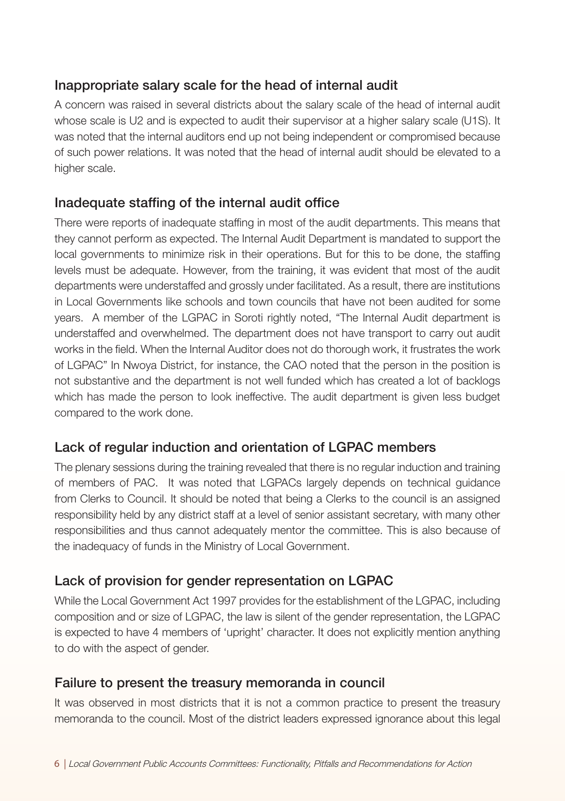#### Inappropriate salary scale for the head of internal audit

A concern was raised in several districts about the salary scale of the head of internal audit whose scale is U2 and is expected to audit their supervisor at a higher salary scale (U1S). It was noted that the internal auditors end up not being independent or compromised because of such power relations. It was noted that the head of internal audit should be elevated to a higher scale.

#### Inadequate staffing of the internal audit office

There were reports of inadequate staffing in most of the audit departments. This means that they cannot perform as expected. The Internal Audit Department is mandated to support the local governments to minimize risk in their operations. But for this to be done, the staffing levels must be adequate. However, from the training, it was evident that most of the audit departments were understaffed and grossly under facilitated. As a result, there are institutions in Local Governments like schools and town councils that have not been audited for some years. A member of the LGPAC in Soroti rightly noted, "The Internal Audit department is understaffed and overwhelmed. The department does not have transport to carry out audit works in the field. When the Internal Auditor does not do thorough work, it frustrates the work of LGPAC" In Nwoya District, for instance, the CAO noted that the person in the position is not substantive and the department is not well funded which has created a lot of backlogs which has made the person to look ineffective. The audit department is given less budget compared to the work done.

#### Lack of regular induction and orientation of LGPAC members

The plenary sessions during the training revealed that there is no regular induction and training of members of PAC. It was noted that LGPACs largely depends on technical guidance from Clerks to Council. It should be noted that being a Clerks to the council is an assigned responsibility held by any district staff at a level of senior assistant secretary, with many other responsibilities and thus cannot adequately mentor the committee. This is also because of the inadequacy of funds in the Ministry of Local Government.

#### Lack of provision for gender representation on LGPAC

While the Local Government Act 1997 provides for the establishment of the LGPAC, including composition and or size of LGPAC, the law is silent of the gender representation, the LGPAC is expected to have 4 members of 'upright' character. It does not explicitly mention anything to do with the aspect of gender.

#### Failure to present the treasury memoranda in council

It was observed in most districts that it is not a common practice to present the treasury memoranda to the council. Most of the district leaders expressed ignorance about this legal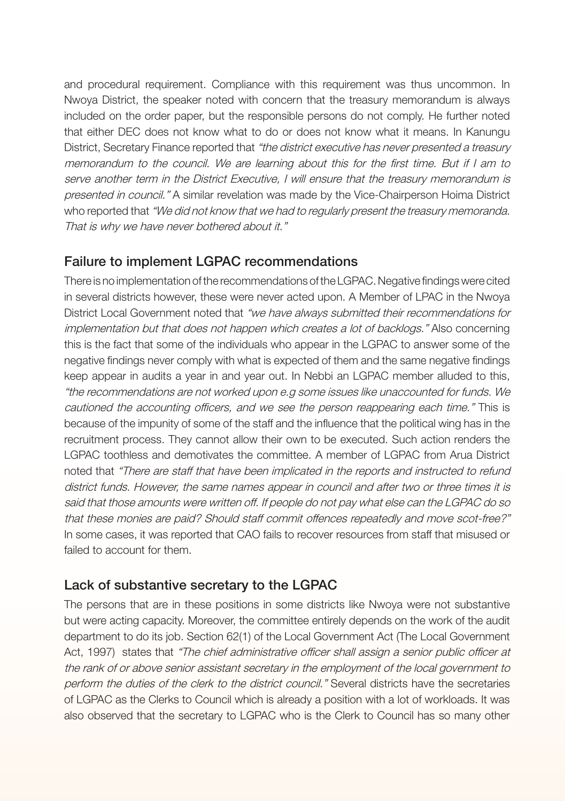and procedural requirement. Compliance with this requirement was thus uncommon. In Nwoya District, the speaker noted with concern that the treasury memorandum is always included on the order paper, but the responsible persons do not comply. He further noted that either DEC does not know what to do or does not know what it means. In Kanungu District, Secretary Finance reported that "the district executive has never presented a treasury memorandum to the council. We are learning about this for the first time. But if I am to serve another term in the District Executive, I will ensure that the treasury memorandum is presented in council." A similar revelation was made by the Vice-Chairperson Hoima District who reported that "We did not know that we had to regularly present the treasury memoranda. That is why we have never bothered about it."

#### Failure to implement LGPAC recommendations

There is no implementation of the recommendations of the LGPAC. Negative findings were cited in several districts however, these were never acted upon. A Member of LPAC in the Nwoya District Local Government noted that "we have always submitted their recommendations for implementation but that does not happen which creates a lot of backlogs." Also concerning this is the fact that some of the individuals who appear in the LGPAC to answer some of the negative findings never comply with what is expected of them and the same negative findings keep appear in audits a year in and year out. In Nebbi an LGPAC member alluded to this, "the recommendations are not worked upon e.g some issues like unaccounted for funds. We cautioned the accounting officers, and we see the person reappearing each time." This is because of the impunity of some of the staff and the influence that the political wing has in the recruitment process. They cannot allow their own to be executed. Such action renders the LGPAC toothless and demotivates the committee. A member of LGPAC from Arua District noted that "There are staff that have been implicated in the reports and instructed to refund district funds. However, the same names appear in council and after two or three times it is said that those amounts were written off. If people do not pay what else can the LGPAC do so that these monies are paid? Should staff commit offences repeatedly and move scot-free?" In some cases, it was reported that CAO fails to recover resources from staff that misused or failed to account for them.

#### Lack of substantive secretary to the LGPAC

The persons that are in these positions in some districts like Nwoya were not substantive but were acting capacity. Moreover, the committee entirely depends on the work of the audit department to do its job. Section 62(1) of the Local Government Act (The Local Government Act, 1997) states that "The chief administrative officer shall assign a senior public officer at the rank of or above senior assistant secretary in the employment of the local government to perform the duties of the clerk to the district council." Several districts have the secretaries of LGPAC as the Clerks to Council which is already a position with a lot of workloads. It was also observed that the secretary to LGPAC who is the Clerk to Council has so many other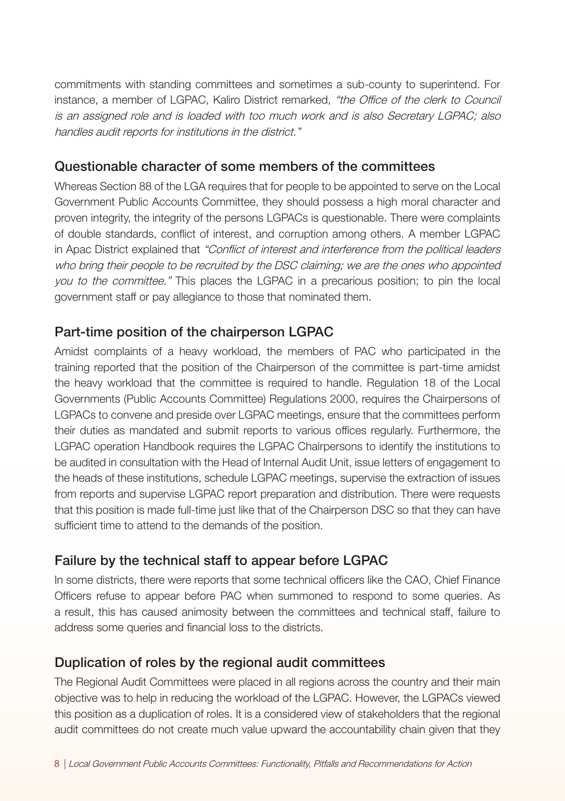commitments with standing committees and sometimes a sub-county to superintend. For instance, a member of LGPAC, Kaliro District remarked, "the Office of the clerk to Council is an assigned role and is loaded with too much work and is also Secretary LGPAC; also handles audit reports for institutions in the district."

#### Questionable character of some members of the committees

Whereas Section 88 of the LGA requires that for people to be appointed to serve on the Local Government Public Accounts Committee, they should possess a high moral character and proven integrity, the integrity of the persons LGPACs is questionable. There were complaints of double standards, conflict of interest, and corruption among others. A member LGPAC in Apac District explained that "Conflict of interest and interference from the political leaders who bring their people to be recruited by the DSC claiming; we are the ones who appointed you to the committee." This places the LGPAC in a precarious position; to pin the local government staff or pay allegiance to those that nominated them.

#### Part-time position of the chairperson LGPAC

Amidst complaints of a heavy workload, the members of PAC who participated in the training reported that the position of the Chairperson of the committee is part-time amidst the heavy workload that the committee is required to handle. Regulation 18 of the Local Governments (Public Accounts Committee) Regulations 2000, requires the Chairpersons of LGPACs to convene and preside over LGPAC meetings, ensure that the committees perform their duties as mandated and submit reports to various offices regularly. Furthermore, the LGPAC operation Handbook requires the LGPAC Chairpersons to identify the institutions to be audited in consultation with the Head of Internal Audit Unit, issue letters of engagement to the heads of these institutions, schedule LGPAC meetings, supervise the extraction of issues from reports and supervise LGPAC report preparation and distribution. There were requests that this position is made full-time just like that of the Chairperson DSC so that they can have sufficient time to attend to the demands of the position.

#### Failure by the technical staff to appear before LGPAC

In some districts, there were reports that some technical officers like the CAO, Chief Finance Officers refuse to appear before PAC when summoned to respond to some queries. As a result, this has caused animosity between the committees and technical staff, failure to address some queries and financial loss to the districts.

#### Duplication of roles by the regional audit committees

The Regional Audit Committees were placed in all regions across the country and their main objective was to help in reducing the workload of the LGPAC. However, the LGPACs viewed this position as a duplication of roles. It is a considered view of stakeholders that the regional audit committees do not create much value upward the accountability chain given that they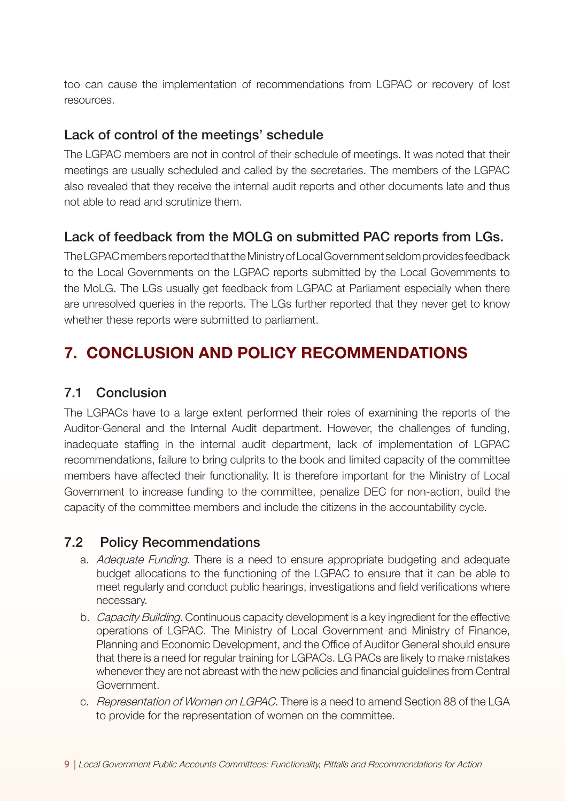too can cause the implementation of recommendations from LGPAC or recovery of lost resources.

#### Lack of control of the meetings' schedule

The LGPAC members are not in control of their schedule of meetings. It was noted that their meetings are usually scheduled and called by the secretaries. The members of the LGPAC also revealed that they receive the internal audit reports and other documents late and thus not able to read and scrutinize them.

#### Lack of feedback from the MOLG on submitted PAC reports from LGs.

The LGPAC members reported that the Ministry of Local Government seldom provides feedback to the Local Governments on the LGPAC reports submitted by the Local Governments to the MoLG. The LGs usually get feedback from LGPAC at Parliament especially when there are unresolved queries in the reports. The LGs further reported that they never get to know whether these reports were submitted to parliament.

## 7. CONCLUSION AND POLICY RECOMMENDATIONS

#### 7.1 Conclusion

The LGPACs have to a large extent performed their roles of examining the reports of the Auditor-General and the Internal Audit department. However, the challenges of funding, inadequate staffing in the internal audit department, lack of implementation of LGPAC recommendations, failure to bring culprits to the book and limited capacity of the committee members have affected their functionality. It is therefore important for the Ministry of Local Government to increase funding to the committee, penalize DEC for non-action, build the capacity of the committee members and include the citizens in the accountability cycle.

#### 7.2 Policy Recommendations

- a. Adequate Funding. There is a need to ensure appropriate budgeting and adequate budget allocations to the functioning of the LGPAC to ensure that it can be able to meet regularly and conduct public hearings, investigations and field verifications where necessary.
- b. Capacity Building. Continuous capacity development is a key ingredient for the effective operations of LGPAC. The Ministry of Local Government and Ministry of Finance, Planning and Economic Development, and the Office of Auditor General should ensure that there is a need for regular training for LGPACs. LG PACs are likely to make mistakes whenever they are not abreast with the new policies and financial guidelines from Central Government.
- c. Representation of Women on LGPAC. There is a need to amend Section 88 of the LGA to provide for the representation of women on the committee.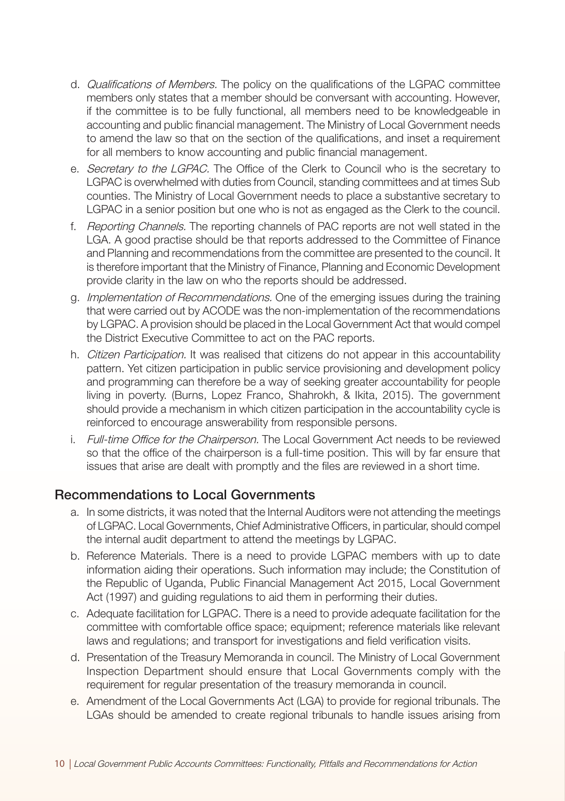- d. Qualifications of Members. The policy on the qualifications of the LGPAC committee members only states that a member should be conversant with accounting. However, if the committee is to be fully functional, all members need to be knowledgeable in accounting and public financial management. The Ministry of Local Government needs to amend the law so that on the section of the qualifications, and inset a requirement for all members to know accounting and public financial management.
- e. Secretary to the LGPAC. The Office of the Clerk to Council who is the secretary to LGPAC is overwhelmed with duties from Council, standing committees and at times Sub counties. The Ministry of Local Government needs to place a substantive secretary to LGPAC in a senior position but one who is not as engaged as the Clerk to the council.
- f. Reporting Channels. The reporting channels of PAC reports are not well stated in the LGA. A good practise should be that reports addressed to the Committee of Finance and Planning and recommendations from the committee are presented to the council. It is therefore important that the Ministry of Finance, Planning and Economic Development provide clarity in the law on who the reports should be addressed.
- g. Implementation of Recommendations. One of the emerging issues during the training that were carried out by ACODE was the non-implementation of the recommendations by LGPAC. A provision should be placed in the Local Government Act that would compel the District Executive Committee to act on the PAC reports.
- h. Citizen Participation. It was realised that citizens do not appear in this accountability pattern. Yet citizen participation in public service provisioning and development policy and programming can therefore be a way of seeking greater accountability for people living in poverty. (Burns, Lopez Franco, Shahrokh, & Ikita, 2015). The government should provide a mechanism in which citizen participation in the accountability cycle is reinforced to encourage answerability from responsible persons.
- i. Full-time Office for the Chairperson. The Local Government Act needs to be reviewed so that the office of the chairperson is a full-time position. This will by far ensure that issues that arise are dealt with promptly and the files are reviewed in a short time.

#### Recommendations to Local Governments

- a. In some districts, it was noted that the Internal Auditors were not attending the meetings of LGPAC. Local Governments, Chief Administrative Officers, in particular, should compel the internal audit department to attend the meetings by LGPAC.
- b. Reference Materials. There is a need to provide LGPAC members with up to date information aiding their operations. Such information may include; the Constitution of the Republic of Uganda, Public Financial Management Act 2015, Local Government Act (1997) and guiding regulations to aid them in performing their duties.
- c. Adequate facilitation for LGPAC. There is a need to provide adequate facilitation for the committee with comfortable office space; equipment; reference materials like relevant laws and regulations; and transport for investigations and field verification visits.
- d. Presentation of the Treasury Memoranda in council. The Ministry of Local Government Inspection Department should ensure that Local Governments comply with the requirement for regular presentation of the treasury memoranda in council.
- e. Amendment of the Local Governments Act (LGA) to provide for regional tribunals. The LGAs should be amended to create regional tribunals to handle issues arising from